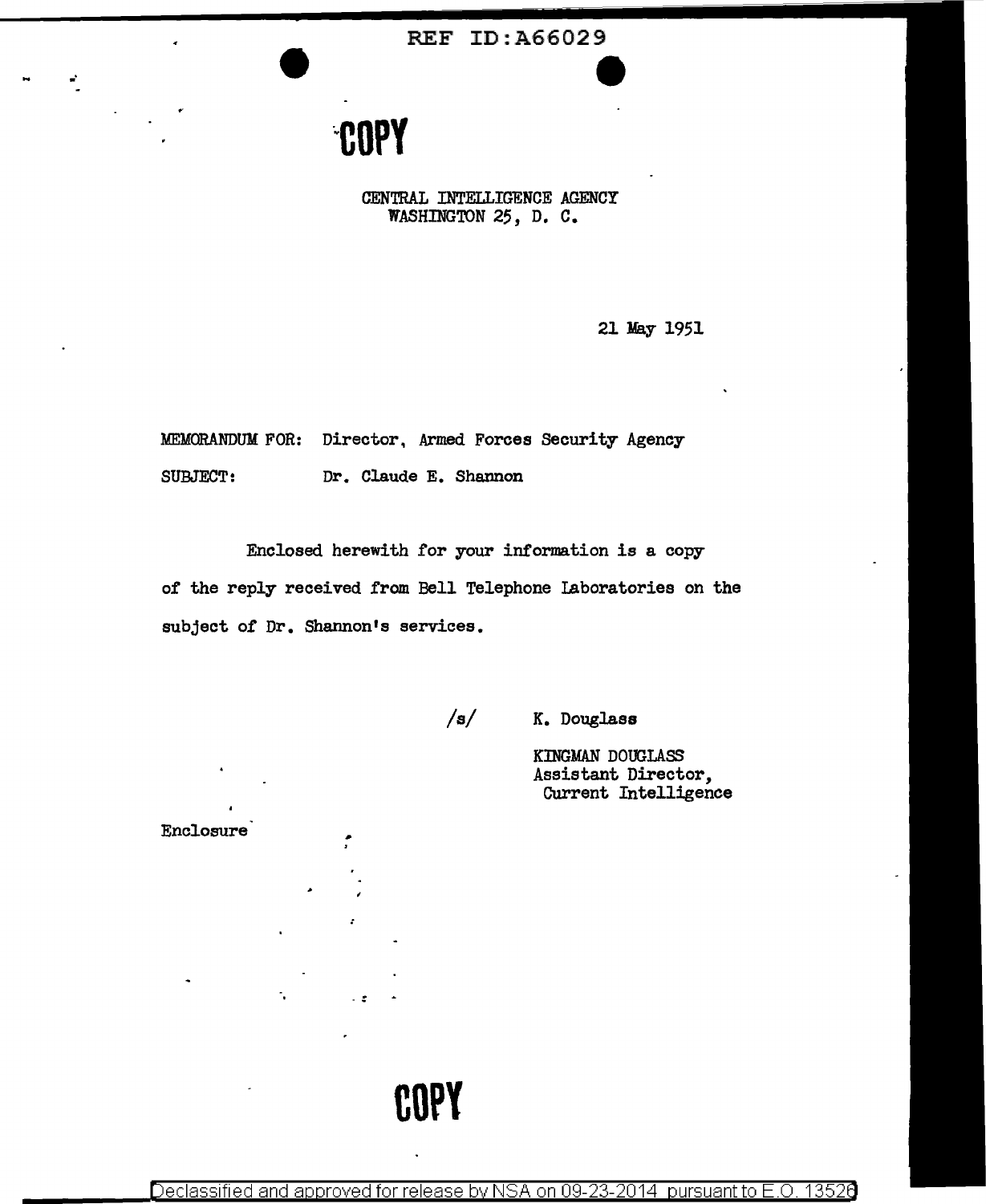REF ID:A66029 **e** 

## **COPY**

•·

CENTRAL INTELLIGENCE AGENCY WASHINGTON *25,* D. C.

21 May 1951

MEMORANDUM FOR: Director. Armed Forces Security Agency SUBJECT: Dr. Claude E. Shannon

Enclosed herewith for your information is a copy of the reply received from Bell Telephone Laboratories on the subject of Dr. Shannon's services.

Enclosure

/s/ K. Douglass

KINGMAN DOUGLASS Assistant Director, Current Intelligence

**COPY** 

Declassified and approved for release by NSA on 09-23-2014 pursuant to E.O. 13526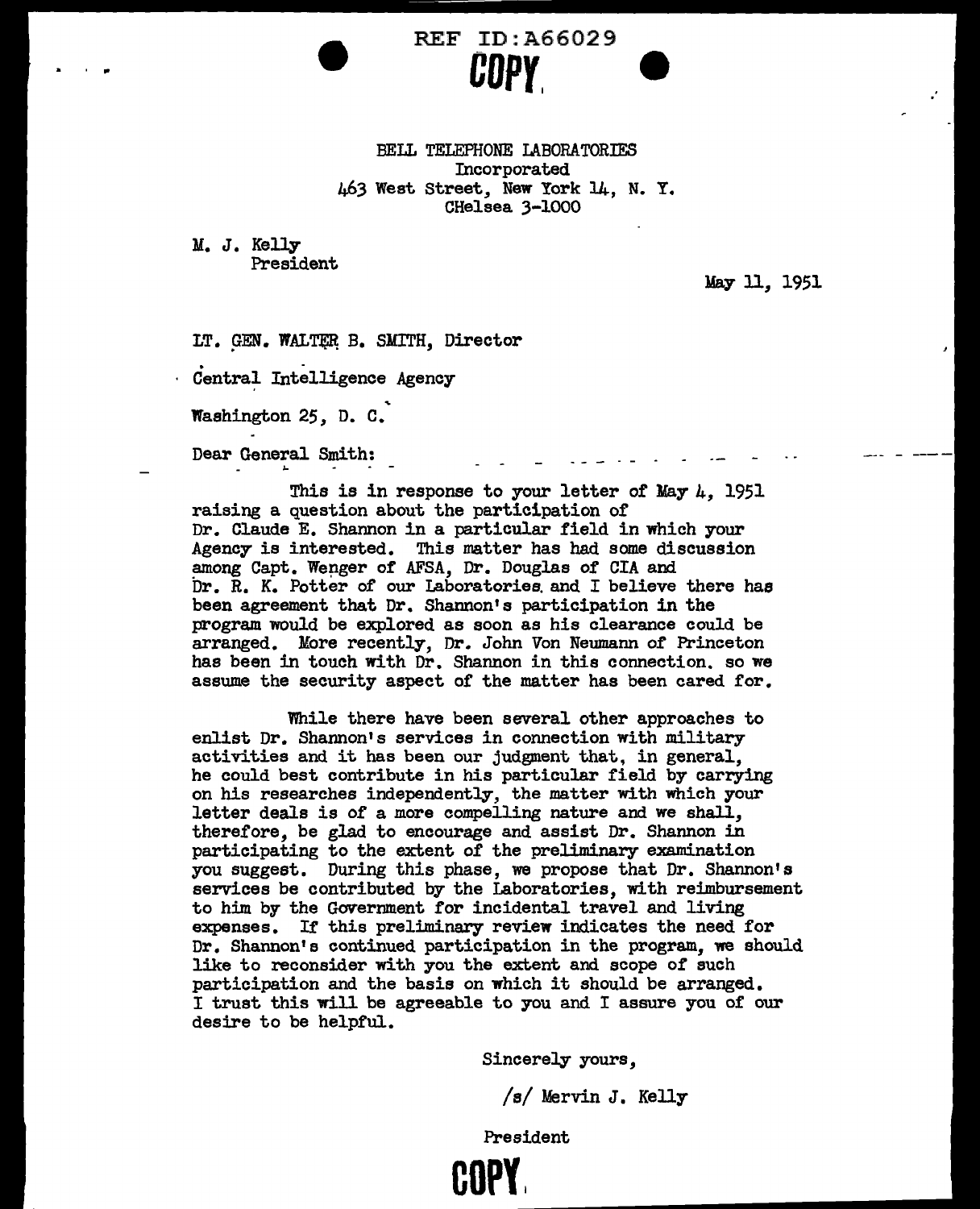### REF ID: A66029 **COPY. e**

BELL TELEPHONE LABORATORIES Incorporated 463 West Street, New York 14., N. Y. CHelsea 3-1000

M. J. Kelly President

May ll, 1951

LT. GEN. WALTER B. SMITH, Director

Central Intelligence Agency

Washington 25, D. c.

Dear General Smith:

This is in response to your letter of May *k,* 1951 raising a question about the participation of Dr. Claude E. Shannon in a particular field in which your Agency is interested. This matter has had some discussio This matter has had some discussion among Capt. Wenger of AFSA, Dr. Douglas of CIA and  $Dr. R. K.$  Potter of our Laboratories and I believe there has been agreement that Dr. Shannon's participation in the program would be explored as soon as his clearance could be arranged. More recently, Dr. John Von Neumann or Princeton has been in touch with Dr. Shannon in this connection. so we assume the security aspect of the matter has been cared for.

While there have been several other approaches to enlist Dr. Shannon's services in connection with military activities and it has been our judgment that, in general, he could best contribute in his particular field by carrying on his researches independently, the matter with which your letter deals is of a more compelling nature and we shall, therefore, be glad to encourage and assist Dr. Shannon in participating to the extent *of* the preliminary examination you suggest. During this phase, we propose that Dr. Shannon's services be contributed by the Laboratories, with reimbursement to him by the Government for incidental travel and living expenses. Ir this preliminary review indicates the need for Dr. Shannon's continued participation in the program, we should like to reconsider with you the extent and scope of such participation and the basis on which it should be arranged. I trust this will be agreeable to you and I assure you or our desire to be helpful.

Sincerely yours,

/s/ Mervin J. Kelly

President

**HIPY**